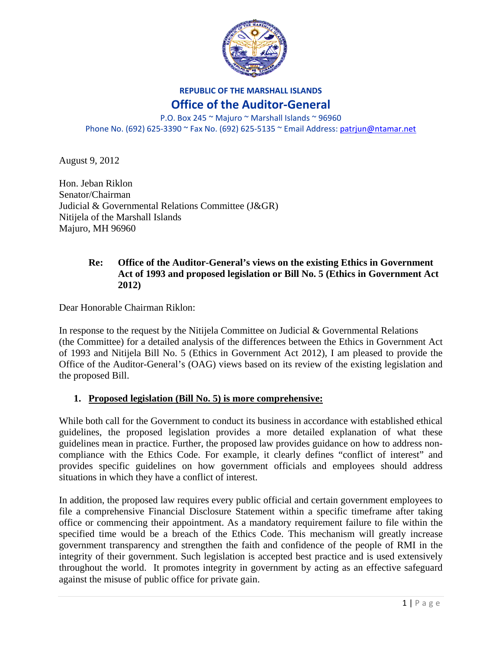

#### **REPUBLIC OF THE MARSHALL ISLANDS**

### **Office of the Auditor‐General**

P.O. Box 245 ~ Majuro ~ Marshall Islands ~ 96960 Phone No. (692) 625‐3390 ~ Fax No. (692) 625‐5135 ~ Email Address: patrjun@ntamar.net

August 9, 2012

Hon. Jeban Riklon Senator/Chairman Judicial & Governmental Relations Committee (J&GR) Nitijela of the Marshall Islands Majuro, MH 96960

#### **Re: Office of the Auditor-General's views on the existing Ethics in Government Act of 1993 and proposed legislation or Bill No. 5 (Ethics in Government Act 2012)**

Dear Honorable Chairman Riklon:

In response to the request by the Nitijela Committee on Judicial & Governmental Relations (the Committee) for a detailed analysis of the differences between the Ethics in Government Act of 1993 and Nitijela Bill No. 5 (Ethics in Government Act 2012), I am pleased to provide the Office of the Auditor-General's (OAG) views based on its review of the existing legislation and the proposed Bill.

### **1. Proposed legislation (Bill No. 5) is more comprehensive:**

While both call for the Government to conduct its business in accordance with established ethical guidelines, the proposed legislation provides a more detailed explanation of what these guidelines mean in practice. Further, the proposed law provides guidance on how to address noncompliance with the Ethics Code. For example, it clearly defines "conflict of interest" and provides specific guidelines on how government officials and employees should address situations in which they have a conflict of interest.

In addition, the proposed law requires every public official and certain government employees to file a comprehensive Financial Disclosure Statement within a specific timeframe after taking office or commencing their appointment. As a mandatory requirement failure to file within the specified time would be a breach of the Ethics Code. This mechanism will greatly increase government transparency and strengthen the faith and confidence of the people of RMI in the integrity of their government. Such legislation is accepted best practice and is used extensively throughout the world. It promotes integrity in government by acting as an effective safeguard against the misuse of public office for private gain.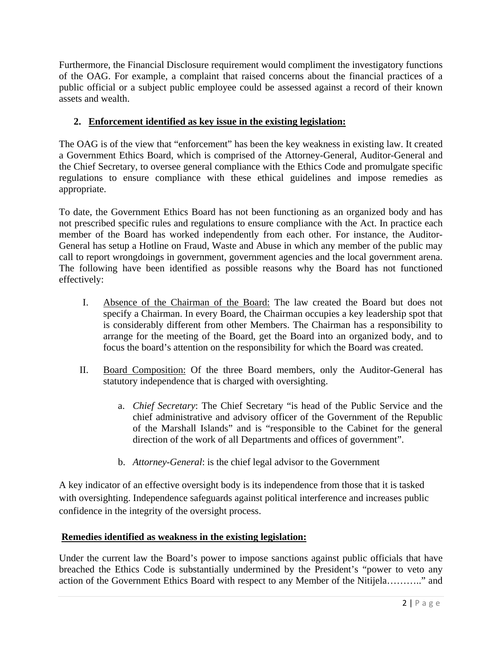Furthermore, the Financial Disclosure requirement would compliment the investigatory functions of the OAG. For example, a complaint that raised concerns about the financial practices of a public official or a subject public employee could be assessed against a record of their known assets and wealth.

# **2. Enforcement identified as key issue in the existing legislation:**

The OAG is of the view that "enforcement" has been the key weakness in existing law. It created a Government Ethics Board, which is comprised of the Attorney-General, Auditor-General and the Chief Secretary, to oversee general compliance with the Ethics Code and promulgate specific regulations to ensure compliance with these ethical guidelines and impose remedies as appropriate.

To date, the Government Ethics Board has not been functioning as an organized body and has not prescribed specific rules and regulations to ensure compliance with the Act. In practice each member of the Board has worked independently from each other. For instance, the Auditor-General has setup a Hotline on Fraud, Waste and Abuse in which any member of the public may call to report wrongdoings in government, government agencies and the local government arena. The following have been identified as possible reasons why the Board has not functioned effectively:

- I. Absence of the Chairman of the Board: The law created the Board but does not specify a Chairman. In every Board, the Chairman occupies a key leadership spot that is considerably different from other Members. The Chairman has a responsibility to arrange for the meeting of the Board, get the Board into an organized body, and to focus the board's attention on the responsibility for which the Board was created.
- II. Board Composition: Of the three Board members, only the Auditor-General has statutory independence that is charged with oversighting.
	- a. *Chief Secretary*: The Chief Secretary "is head of the Public Service and the chief administrative and advisory officer of the Government of the Republic of the Marshall Islands" and is "responsible to the Cabinet for the general direction of the work of all Departments and offices of government".
	- b. *Attorney-General*: is the chief legal advisor to the Government

A key indicator of an effective oversight body is its independence from those that it is tasked with oversighting. Independence safeguards against political interference and increases public confidence in the integrity of the oversight process.

## **Remedies identified as weakness in the existing legislation:**

Under the current law the Board's power to impose sanctions against public officials that have breached the Ethics Code is substantially undermined by the President's "power to veto any action of the Government Ethics Board with respect to any Member of the Nitijela……….." and